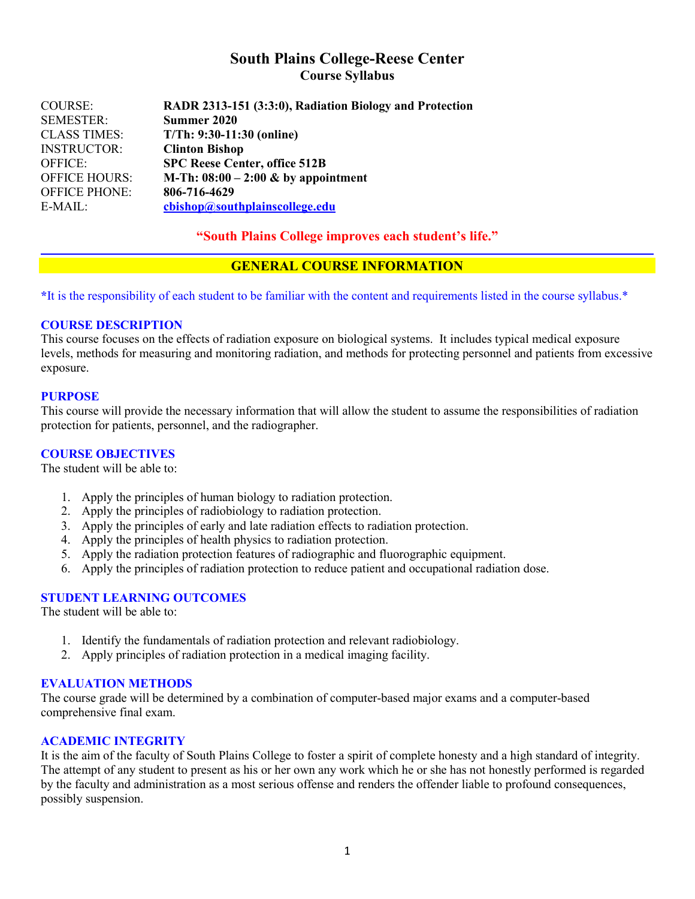# **South Plains College-Reese Center Course Syllabus**

| COURSE:              | RADR 2313-151 (3:3:0), Radiation Biology and Protection |
|----------------------|---------------------------------------------------------|
| <b>SEMESTER:</b>     | Summer 2020                                             |
| <b>CLASS TIMES:</b>  | $T/Th: 9:30-11:30$ (online)                             |
| <b>INSTRUCTOR:</b>   | <b>Clinton Bishop</b>                                   |
| <b>OFFICE:</b>       | <b>SPC Reese Center, office 512B</b>                    |
| <b>OFFICE HOURS:</b> | M-Th: $08:00 - 2:00 \&$ by appointment                  |
| <b>OFFICE PHONE:</b> | 806-716-4629                                            |
| E-MAIL:              | cbishop@southplainscollege.edu                          |

### **"South Plains College improves each student's life."**

### **GENERAL COURSE INFORMATION**

**\***It is the responsibility of each student to be familiar with the content and requirements listed in the course syllabus.\*

### **COURSE DESCRIPTION**

This course focuses on the effects of radiation exposure on biological systems. It includes typical medical exposure levels, methods for measuring and monitoring radiation, and methods for protecting personnel and patients from excessive exposure.

### **PURPOSE**

This course will provide the necessary information that will allow the student to assume the responsibilities of radiation protection for patients, personnel, and the radiographer.

### **COURSE OBJECTIVES**

The student will be able to:

- 1. Apply the principles of human biology to radiation protection.
- 2. Apply the principles of radiobiology to radiation protection.
- 3. Apply the principles of early and late radiation effects to radiation protection.
- 4. Apply the principles of health physics to radiation protection.
- 5. Apply the radiation protection features of radiographic and fluorographic equipment.
- 6. Apply the principles of radiation protection to reduce patient and occupational radiation dose.

#### **STUDENT LEARNING OUTCOMES**

The student will be able to:

- 1. Identify the fundamentals of radiation protection and relevant radiobiology.
- 2. Apply principles of radiation protection in a medical imaging facility.

### **EVALUATION METHODS**

The course grade will be determined by a combination of computer-based major exams and a computer-based comprehensive final exam.

#### **ACADEMIC INTEGRITY**

It is the aim of the faculty of South Plains College to foster a spirit of complete honesty and a high standard of integrity. The attempt of any student to present as his or her own any work which he or she has not honestly performed is regarded by the faculty and administration as a most serious offense and renders the offender liable to profound consequences, possibly suspension.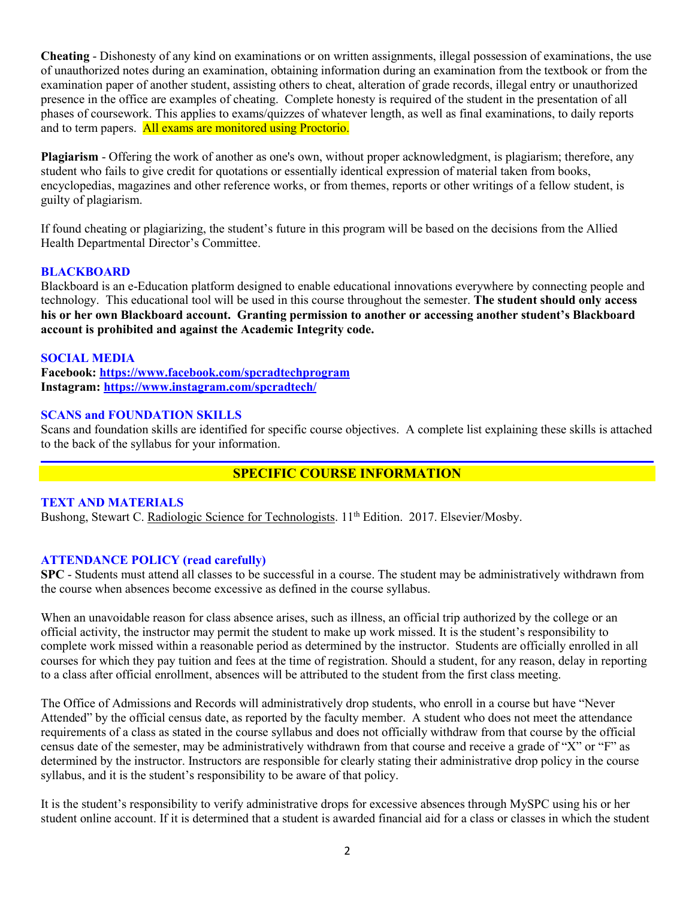**Cheating** - Dishonesty of any kind on examinations or on written assignments, illegal possession of examinations, the use of unauthorized notes during an examination, obtaining information during an examination from the textbook or from the examination paper of another student, assisting others to cheat, alteration of grade records, illegal entry or unauthorized presence in the office are examples of cheating. Complete honesty is required of the student in the presentation of all phases of coursework. This applies to exams/quizzes of whatever length, as well as final examinations, to daily reports and to term papers. All exams are monitored using Proctorio.

**Plagiarism** - Offering the work of another as one's own, without proper acknowledgment, is plagiarism; therefore, any student who fails to give credit for quotations or essentially identical expression of material taken from books, encyclopedias, magazines and other reference works, or from themes, reports or other writings of a fellow student, is guilty of plagiarism.

If found cheating or plagiarizing, the student's future in this program will be based on the decisions from the Allied Health Departmental Director's Committee.

### **BLACKBOARD**

Blackboard is an e-Education platform designed to enable educational innovations everywhere by connecting people and technology. This educational tool will be used in this course throughout the semester. **The student should only access his or her own Blackboard account. Granting permission to another or accessing another student's Blackboard account is prohibited and against the Academic Integrity code.**

#### **SOCIAL MEDIA**

**Facebook: <https://www.facebook.com/spcradtechprogram> Instagram:<https://www.instagram.com/spcradtech/>**

### **SCANS and FOUNDATION SKILLS**

Scans and foundation skills are identified for specific course objectives. A complete list explaining these skills is attached to the back of the syllabus for your information.

### **SPECIFIC COURSE INFORMATION**

#### **TEXT AND MATERIALS**

Bushong, Stewart C. Radiologic Science for Technologists. 11<sup>th</sup> Edition. 2017. Elsevier/Mosby.

### **ATTENDANCE POLICY (read carefully)**

**SPC** - Students must attend all classes to be successful in a course. The student may be administratively withdrawn from the course when absences become excessive as defined in the course syllabus.

When an unavoidable reason for class absence arises, such as illness, an official trip authorized by the college or an official activity, the instructor may permit the student to make up work missed. It is the student's responsibility to complete work missed within a reasonable period as determined by the instructor. Students are officially enrolled in all courses for which they pay tuition and fees at the time of registration. Should a student, for any reason, delay in reporting to a class after official enrollment, absences will be attributed to the student from the first class meeting.

The Office of Admissions and Records will administratively drop students, who enroll in a course but have "Never Attended" by the official census date, as reported by the faculty member. A student who does not meet the attendance requirements of a class as stated in the course syllabus and does not officially withdraw from that course by the official census date of the semester, may be administratively withdrawn from that course and receive a grade of "X" or "F" as determined by the instructor. Instructors are responsible for clearly stating their administrative drop policy in the course syllabus, and it is the student's responsibility to be aware of that policy.

It is the student's responsibility to verify administrative drops for excessive absences through MySPC using his or her student online account. If it is determined that a student is awarded financial aid for a class or classes in which the student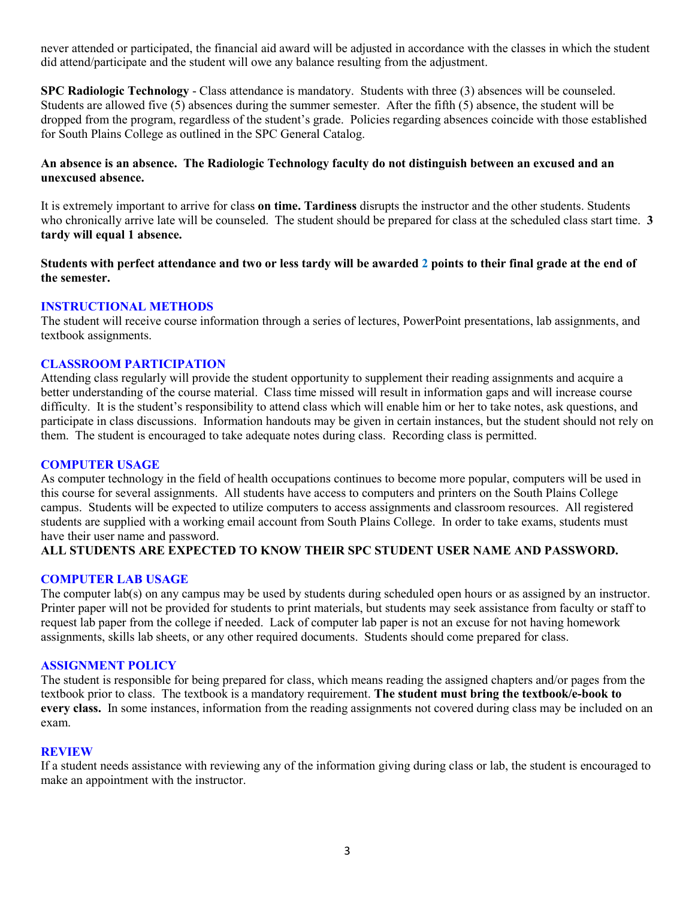never attended or participated, the financial aid award will be adjusted in accordance with the classes in which the student did attend/participate and the student will owe any balance resulting from the adjustment.

**SPC Radiologic Technology** - Class attendance is mandatory. Students with three (3) absences will be counseled. Students are allowed five (5) absences during the summer semester. After the fifth (5) absence, the student will be dropped from the program, regardless of the student's grade. Policies regarding absences coincide with those established for South Plains College as outlined in the SPC General Catalog.

### **An absence is an absence. The Radiologic Technology faculty do not distinguish between an excused and an unexcused absence.**

It is extremely important to arrive for class **on time. Tardiness** disrupts the instructor and the other students. Students who chronically arrive late will be counseled. The student should be prepared for class at the scheduled class start time. **3 tardy will equal 1 absence.**

**Students with perfect attendance and two or less tardy will be awarded 2 points to their final grade at the end of the semester.**

### **INSTRUCTIONAL METHODS**

The student will receive course information through a series of lectures, PowerPoint presentations, lab assignments, and textbook assignments.

### **CLASSROOM PARTICIPATION**

Attending class regularly will provide the student opportunity to supplement their reading assignments and acquire a better understanding of the course material. Class time missed will result in information gaps and will increase course difficulty. It is the student's responsibility to attend class which will enable him or her to take notes, ask questions, and participate in class discussions. Information handouts may be given in certain instances, but the student should not rely on them. The student is encouraged to take adequate notes during class. Recording class is permitted.

### **COMPUTER USAGE**

As computer technology in the field of health occupations continues to become more popular, computers will be used in this course for several assignments. All students have access to computers and printers on the South Plains College campus. Students will be expected to utilize computers to access assignments and classroom resources. All registered students are supplied with a working email account from South Plains College. In order to take exams, students must have their user name and password.

### **ALL STUDENTS ARE EXPECTED TO KNOW THEIR SPC STUDENT USER NAME AND PASSWORD.**

### **COMPUTER LAB USAGE**

The computer lab(s) on any campus may be used by students during scheduled open hours or as assigned by an instructor. Printer paper will not be provided for students to print materials, but students may seek assistance from faculty or staff to request lab paper from the college if needed. Lack of computer lab paper is not an excuse for not having homework assignments, skills lab sheets, or any other required documents. Students should come prepared for class.

#### **ASSIGNMENT POLICY**

The student is responsible for being prepared for class, which means reading the assigned chapters and/or pages from the textbook prior to class. The textbook is a mandatory requirement. **The student must bring the textbook/e-book to every class.** In some instances, information from the reading assignments not covered during class may be included on an exam.

#### **REVIEW**

If a student needs assistance with reviewing any of the information giving during class or lab, the student is encouraged to make an appointment with the instructor.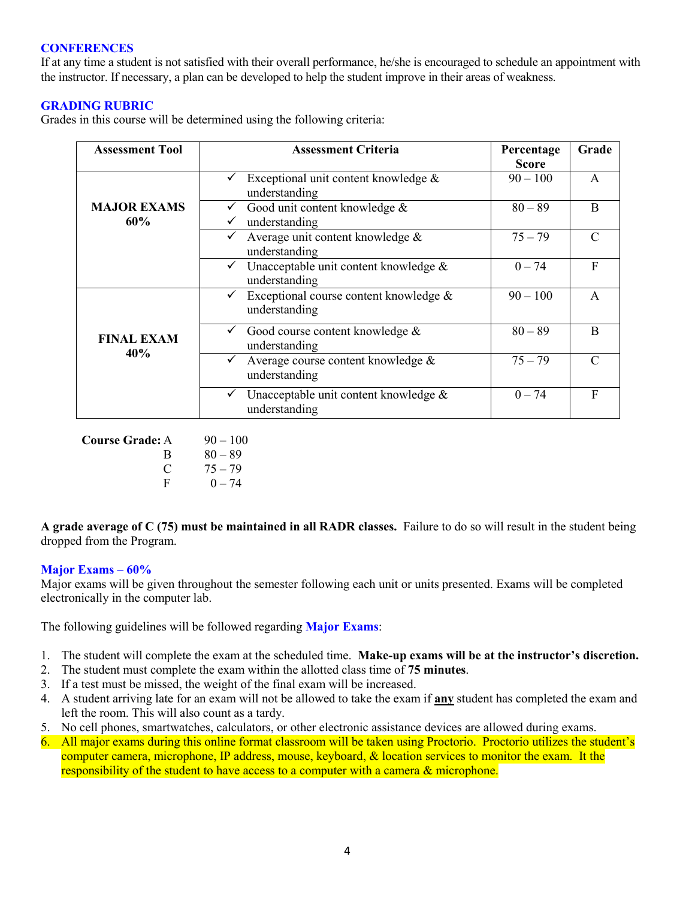### **CONFERENCES**

If at any time a student is not satisfied with their overall performance, he/she is encouraged to schedule an appointment with the instructor. If necessary, a plan can be developed to help the student improve in their areas of weakness.

### **GRADING RUBRIC**

Grades in this course will be determined using the following criteria:

| <b>Assessment Tool</b>    | <b>Assessment Criteria</b>                               | Percentage<br><b>Score</b> | Grade         |
|---------------------------|----------------------------------------------------------|----------------------------|---------------|
| <b>MAJOR EXAMS</b><br>60% | Exceptional unit content knowledge $\&$<br>understanding | $90 - 100$                 | A             |
|                           | Good unit content knowledge &<br>understanding           | $80 - 89$                  | B             |
|                           | Average unit content knowledge &<br>understanding        | $75 - 79$                  | $\mathcal{C}$ |
|                           | Unacceptable unit content knowledge &<br>understanding   | $0 - 74$                   | F             |
| <b>FINAL EXAM</b><br>40%  | Exceptional course content knowledge &<br>understanding  | $90 - 100$                 | $\mathsf{A}$  |
|                           | Good course content knowledge &<br>understanding         | $80 - 89$                  | B             |
|                           | Average course content knowledge &<br>✓<br>understanding | $75 - 79$                  | $\mathcal{C}$ |
|                           | Unacceptable unit content knowledge &<br>understanding   | $0 - 74$                   | F             |

**Course Grade:** A 90 – 100 B  $80 - 89$ C  $75 - 79$ F  $0 - 74$ 

**A grade average of C (75) must be maintained in all RADR classes.** Failure to do so will result in the student being dropped from the Program.

### **Major Exams – 60%**

Major exams will be given throughout the semester following each unit or units presented. Exams will be completed electronically in the computer lab.

The following guidelines will be followed regarding **Major Exams**:

- 1. The student will complete the exam at the scheduled time. **Make-up exams will be at the instructor's discretion.**
- 2. The student must complete the exam within the allotted class time of **75 minutes**.
- 3. If a test must be missed, the weight of the final exam will be increased.
- 4. A student arriving late for an exam will not be allowed to take the exam if **any** student has completed the exam and left the room. This will also count as a tardy.
- 5. No cell phones, smartwatches, calculators, or other electronic assistance devices are allowed during exams.
- 6. All major exams during this online format classroom will be taken using Proctorio. Proctorio utilizes the student's computer camera, microphone, IP address, mouse, keyboard, & location services to monitor the exam. It the responsibility of the student to have access to a computer with a camera & microphone.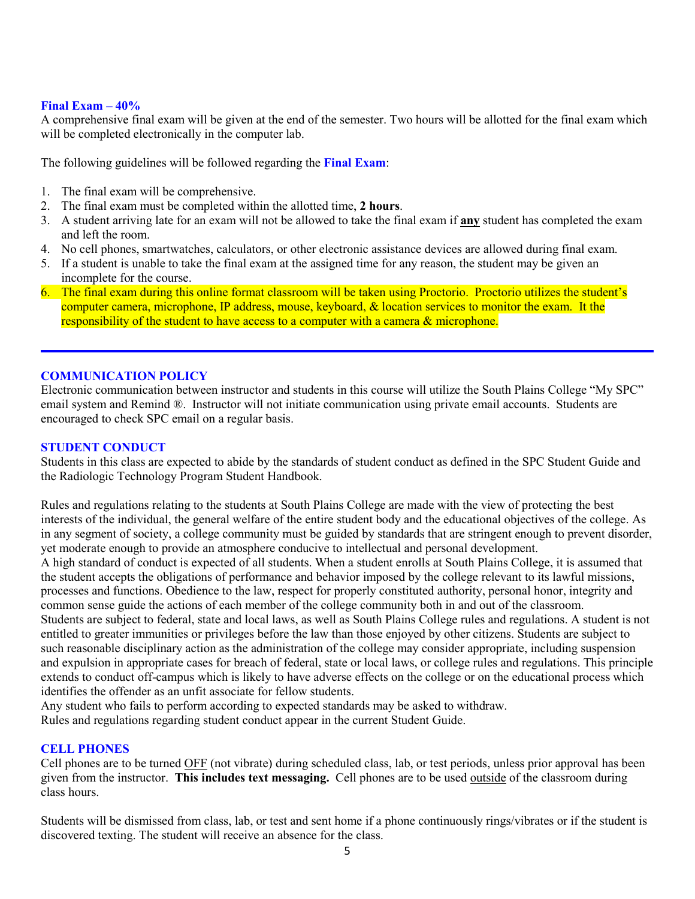### **Final Exam – 40%**

A comprehensive final exam will be given at the end of the semester. Two hours will be allotted for the final exam which will be completed electronically in the computer lab.

The following guidelines will be followed regarding the **Final Exam**:

- 1. The final exam will be comprehensive.
- 2. The final exam must be completed within the allotted time, **2 hours**.
- 3. A student arriving late for an exam will not be allowed to take the final exam if **any** student has completed the exam and left the room.
- 4. No cell phones, smartwatches, calculators, or other electronic assistance devices are allowed during final exam.
- 5. If a student is unable to take the final exam at the assigned time for any reason, the student may be given an incomplete for the course.
- 6. The final exam during this online format classroom will be taken using Proctorio. Proctorio utilizes the student's computer camera, microphone, IP address, mouse, keyboard, & location services to monitor the exam. It the responsibility of the student to have access to a computer with a camera & microphone.

### **COMMUNICATION POLICY**

Electronic communication between instructor and students in this course will utilize the South Plains College "My SPC" email system and Remind ®. Instructor will not initiate communication using private email accounts. Students are encouraged to check SPC email on a regular basis.

#### **STUDENT CONDUCT**

Students in this class are expected to abide by the standards of student conduct as defined in the SPC Student Guide and the Radiologic Technology Program Student Handbook.

Rules and regulations relating to the students at South Plains College are made with the view of protecting the best interests of the individual, the general welfare of the entire student body and the educational objectives of the college. As in any segment of society, a college community must be guided by standards that are stringent enough to prevent disorder, yet moderate enough to provide an atmosphere conducive to intellectual and personal development.

A high standard of conduct is expected of all students. When a student enrolls at South Plains College, it is assumed that the student accepts the obligations of performance and behavior imposed by the college relevant to its lawful missions, processes and functions. Obedience to the law, respect for properly constituted authority, personal honor, integrity and common sense guide the actions of each member of the college community both in and out of the classroom.

Students are subject to federal, state and local laws, as well as South Plains College rules and regulations. A student is not entitled to greater immunities or privileges before the law than those enjoyed by other citizens. Students are subject to such reasonable disciplinary action as the administration of the college may consider appropriate, including suspension and expulsion in appropriate cases for breach of federal, state or local laws, or college rules and regulations. This principle extends to conduct off-campus which is likely to have adverse effects on the college or on the educational process which identifies the offender as an unfit associate for fellow students.

Any student who fails to perform according to expected standards may be asked to withdraw.

Rules and regulations regarding student conduct appear in the current Student Guide.

### **CELL PHONES**

Cell phones are to be turned OFF (not vibrate) during scheduled class, lab, or test periods, unless prior approval has been given from the instructor. **This includes text messaging.** Cell phones are to be used outside of the classroom during class hours.

Students will be dismissed from class, lab, or test and sent home if a phone continuously rings/vibrates or if the student is discovered texting. The student will receive an absence for the class.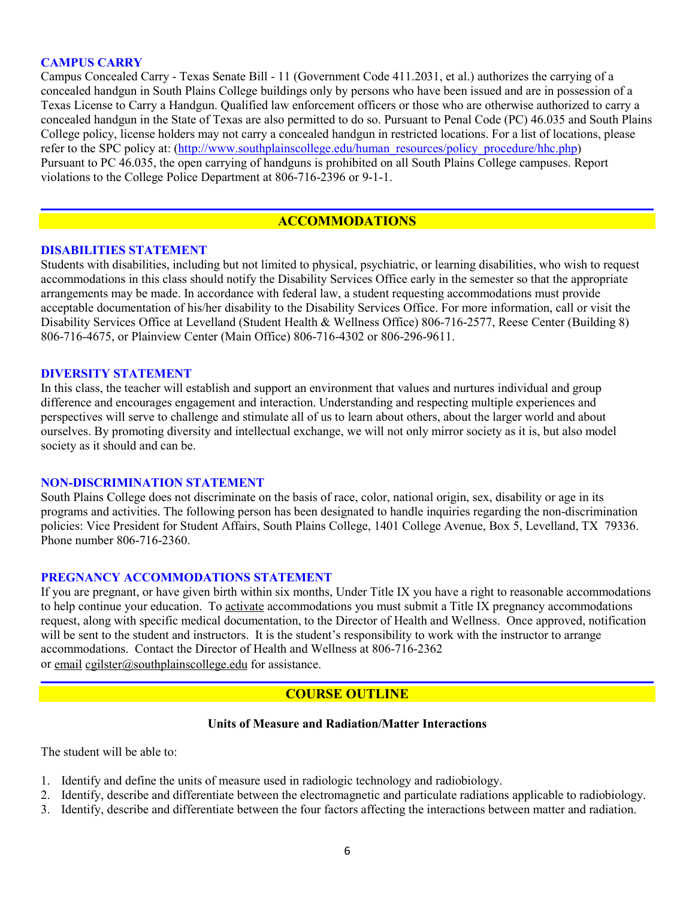### **CAMPUS CARRY**

Campus Concealed Carry - Texas Senate Bill - 11 (Government Code 411.2031, et al.) authorizes the carrying of a concealed handgun in South Plains College buildings only by persons who have been issued and are in possession of a Texas License to Carry a Handgun. Qualified law enforcement officers or those who are otherwise authorized to carry a concealed handgun in the State of Texas are also permitted to do so. Pursuant to Penal Code (PC) 46.035 and South Plains College policy, license holders may not carry a concealed handgun in restricted locations. For a list of locations, please refer to the SPC policy at: [\(http://www.southplainscollege.edu/human\\_resources/policy\\_procedure/hhc.php\)](http://www.southplainscollege.edu/human_resources/policy_procedure/hhc.php) Pursuant to PC 46.035, the open carrying of handguns is prohibited on all South Plains College campuses. Report violations to the College Police Department at 806-716-2396 or 9-1-1.

### **ACCOMMODATIONS**

#### **DISABILITIES STATEMENT**

Students with disabilities, including but not limited to physical, psychiatric, or learning disabilities, who wish to request accommodations in this class should notify the Disability Services Office early in the semester so that the appropriate arrangements may be made. In accordance with federal law, a student requesting accommodations must provide acceptable documentation of his/her disability to the Disability Services Office. For more information, call or visit the Disability Services Office at Levelland (Student Health & Wellness Office) 806-716-2577, Reese Center (Building 8) 806-716-4675, or Plainview Center (Main Office) 806-716-4302 or 806-296-9611.

#### **DIVERSITY STATEMENT**

In this class, the teacher will establish and support an environment that values and nurtures individual and group difference and encourages engagement and interaction. Understanding and respecting multiple experiences and perspectives will serve to challenge and stimulate all of us to learn about others, about the larger world and about ourselves. By promoting diversity and intellectual exchange, we will not only mirror society as it is, but also model society as it should and can be.

#### **NON-DISCRIMINATION STATEMENT**

South Plains College does not discriminate on the basis of race, color, national origin, sex, disability or age in its programs and activities. The following person has been designated to handle inquiries regarding the non-discrimination policies: Vice President for Student Affairs, South Plains College, 1401 College Avenue, Box 5, Levelland, TX 79336. Phone number 806-716-2360.

#### **PREGNANCY ACCOMMODATIONS STATEMENT**

If you are pregnant, or have given birth within six months, Under Title IX you have a right to reasonable accommodations to help continue your education. To [activate](http://www.southplainscollege.edu/employees/manualshandbooks/facultyhandbook/sec4.php) accommodations you must submit a Title IX pregnancy accommodations request, along with specific medical documentation, to the Director of Health and Wellness. Once approved, notification will be sent to the student and instructors. It is the student's responsibility to work with the instructor to arrange accommodations. Contact the Director of Health and Wellness at 806-716-2362 or [email](http://www.southplainscollege.edu/employees/manualshandbooks/facultyhandbook/sec4.php) [cgilster@southplainscollege.edu](mailto:cgilster@southplainscollege.edu) for assistance.

### **COURSE OUTLINE**

### **Units of Measure and Radiation/Matter Interactions**

The student will be able to:

- 1. Identify and define the units of measure used in radiologic technology and radiobiology.
- 2. Identify, describe and differentiate between the electromagnetic and particulate radiations applicable to radiobiology.
- 3. Identify, describe and differentiate between the four factors affecting the interactions between matter and radiation.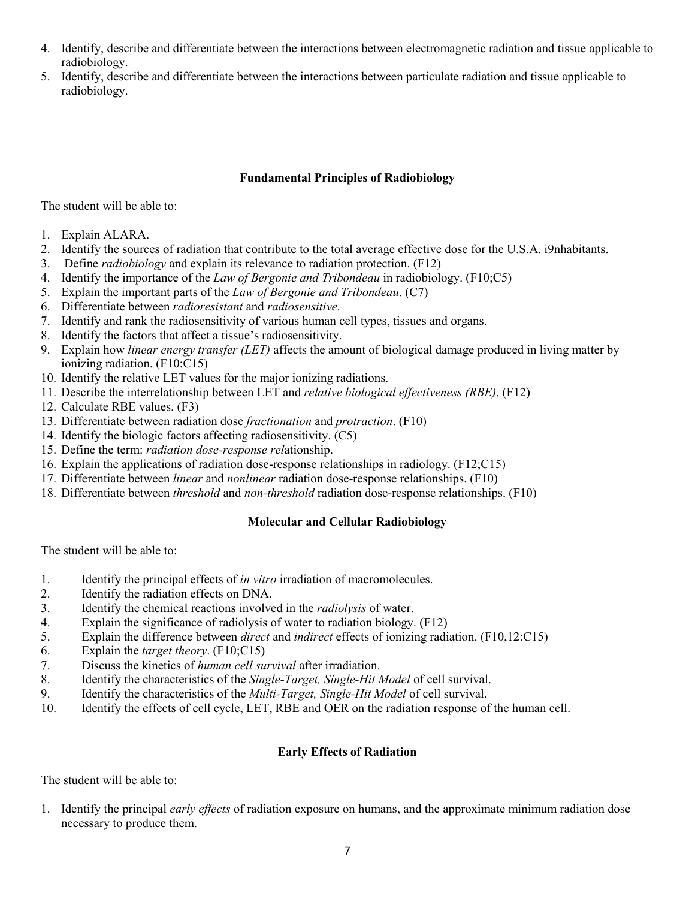- 4. Identify, describe and differentiate between the interactions between electromagnetic radiation and tissue applicable to radiobiology.
- 5. Identify, describe and differentiate between the interactions between particulate radiation and tissue applicable to radiobiology.

### **Fundamental Principles of Radiobiology**

The student will be able to:

- 1. Explain ALARA.
- 2. Identify the sources of radiation that contribute to the total average effective dose for the U.S.A. i9nhabitants.
- 3. Define *radiobiology* and explain its relevance to radiation protection. (F12)
- 4. Identify the importance of the *Law of Bergonie and Tribondeau* in radiobiology. (F10;C5)
- 5. Explain the important parts of the *Law of Bergonie and Tribondeau*. (C7)
- 6. Differentiate between *radioresistant* and *radiosensitive*.
- 7. Identify and rank the radiosensitivity of various human cell types, tissues and organs.
- 8. Identify the factors that affect a tissue's radiosensitivity.
- 9. Explain how *linear energy transfer (LET)* affects the amount of biological damage produced in living matter by ionizing radiation. (F10:C15)
- 10. Identify the relative LET values for the major ionizing radiations.
- 11. Describe the interrelationship between LET and *relative biological effectiveness (RBE)*. (F12)
- 12. Calculate RBE values. (F3)
- 13. Differentiate between radiation dose *fractionation* and *protraction*. (F10)
- 14. Identify the biologic factors affecting radiosensitivity. (C5)
- 15. Define the term: *radiation dose-response rel*ationship.
- 16. Explain the applications of radiation dose-response relationships in radiology. (F12;C15)
- 17. Differentiate between *linear* and *nonlinear* radiation dose-response relationships. (F10)
- 18. Differentiate between *threshold* and *non-threshold* radiation dose-response relationships. (F10)

### **Molecular and Cellular Radiobiology**

The student will be able to:

- 1. Identify the principal effects of *in vitro* irradiation of macromolecules.
- 2. Identify the radiation effects on DNA.
- 3. Identify the chemical reactions involved in the *radiolysis* of water.
- 4. Explain the significance of radiolysis of water to radiation biology. (F12)
- 5. Explain the difference between *direct* and *indirect* effects of ionizing radiation. (F10,12:C15)
- 6. Explain the *target theory*. (F10;C15)
- 7. Discuss the kinetics of *human cell survival* after irradiation.
- 8. Identify the characteristics of the *Single-Target, Single-Hit Model* of cell survival.
- 9. Identify the characteristics of the *Multi-Target, Single-Hit Model* of cell survival.
- 10. Identify the effects of cell cycle, LET, RBE and OER on the radiation response of the human cell.

### **Early Effects of Radiation**

The student will be able to:

1. Identify the principal *early effects* of radiation exposure on humans, and the approximate minimum radiation dose necessary to produce them.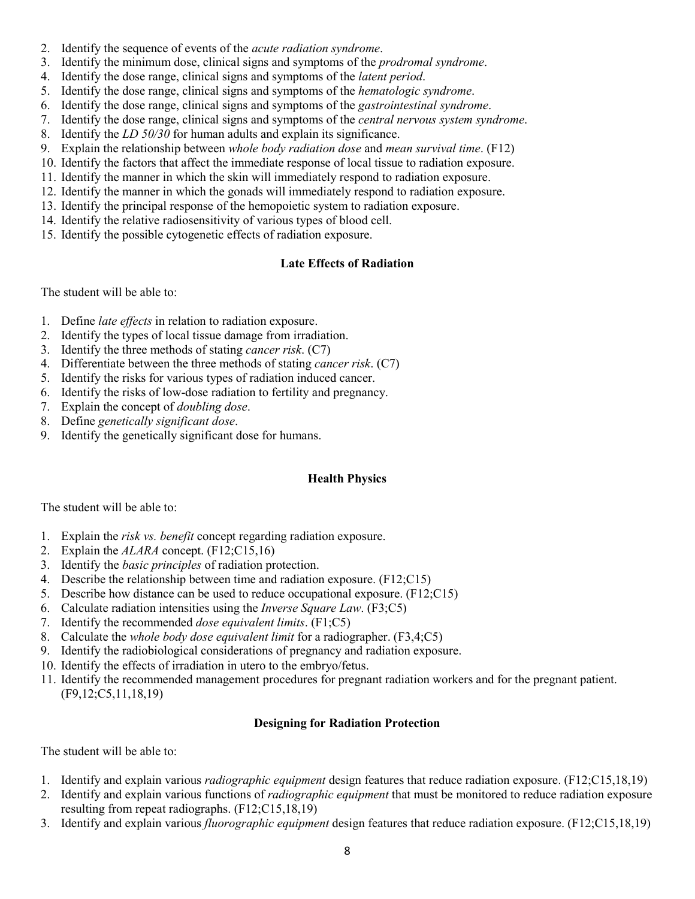- 2. Identify the sequence of events of the *acute radiation syndrome*.
- 3. Identify the minimum dose, clinical signs and symptoms of the *prodromal syndrome*.
- 4. Identify the dose range, clinical signs and symptoms of the *latent period*.
- 5. Identify the dose range, clinical signs and symptoms of the *hematologic syndrome*.
- 6. Identify the dose range, clinical signs and symptoms of the *gastrointestinal syndrome*.
- 7. Identify the dose range, clinical signs and symptoms of the *central nervous system syndrome*.
- 8. Identify the *LD 50/30* for human adults and explain its significance.
- 9. Explain the relationship between *whole body radiation dose* and *mean survival time*. (F12)
- 10. Identify the factors that affect the immediate response of local tissue to radiation exposure.
- 11. Identify the manner in which the skin will immediately respond to radiation exposure.
- 12. Identify the manner in which the gonads will immediately respond to radiation exposure.
- 13. Identify the principal response of the hemopoietic system to radiation exposure.
- 14. Identify the relative radiosensitivity of various types of blood cell.
- 15. Identify the possible cytogenetic effects of radiation exposure.

### **Late Effects of Radiation**

The student will be able to:

- 1. Define *late effects* in relation to radiation exposure.
- 2. Identify the types of local tissue damage from irradiation.
- 3. Identify the three methods of stating *cancer risk*. (C7)
- 4. Differentiate between the three methods of stating *cancer risk*. (C7)
- 5. Identify the risks for various types of radiation induced cancer.
- 6. Identify the risks of low-dose radiation to fertility and pregnancy.
- 7. Explain the concept of *doubling dose*.
- 8. Define *genetically significant dose*.
- 9. Identify the genetically significant dose for humans.

### **Health Physics**

The student will be able to:

- 1. Explain the *risk vs. benefit* concept regarding radiation exposure.
- 2. Explain the *ALARA* concept. (F12;C15,16)
- 3. Identify the *basic principles* of radiation protection.
- 4. Describe the relationship between time and radiation exposure. (F12;C15)
- 5. Describe how distance can be used to reduce occupational exposure. (F12;C15)
- 6. Calculate radiation intensities using the *Inverse Square Law*. (F3;C5)
- 7. Identify the recommended *dose equivalent limits*. (F1;C5)
- 8. Calculate the *whole body dose equivalent limit* for a radiographer. (F3,4;C5)
- 9. Identify the radiobiological considerations of pregnancy and radiation exposure.
- 10. Identify the effects of irradiation in utero to the embryo/fetus.
- 11. Identify the recommended management procedures for pregnant radiation workers and for the pregnant patient. (F9,12;C5,11,18,19)

### **Designing for Radiation Protection**

The student will be able to:

- 1. Identify and explain various *radiographic equipment* design features that reduce radiation exposure. (F12;C15,18,19)
- 2. Identify and explain various functions of *radiographic equipment* that must be monitored to reduce radiation exposure resulting from repeat radiographs. (F12;C15,18,19)
- 3. Identify and explain various *fluorographic equipment* design features that reduce radiation exposure. (F12;C15,18,19)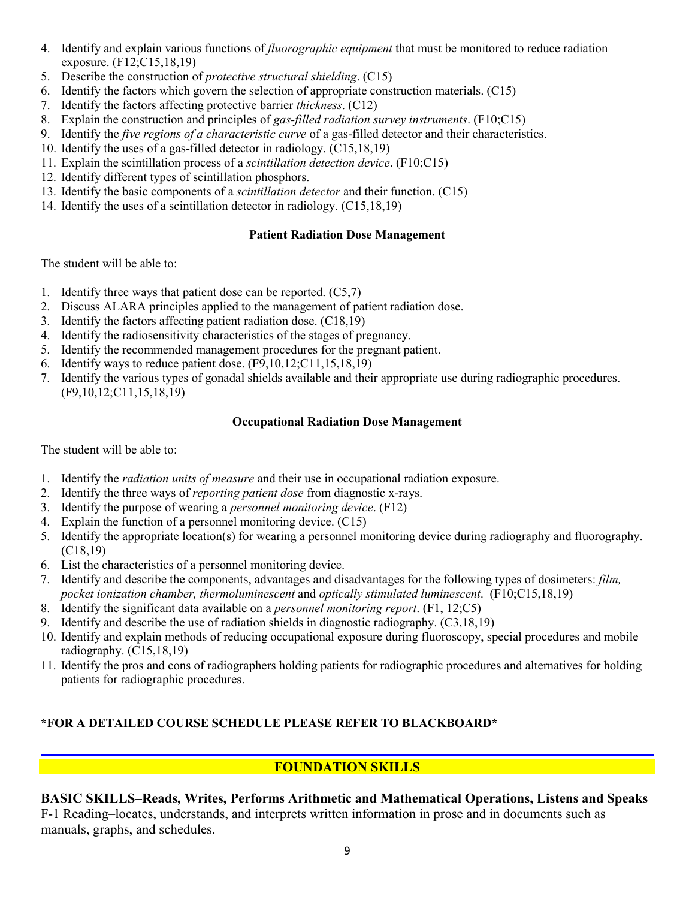- 4. Identify and explain various functions of *fluorographic equipment* that must be monitored to reduce radiation exposure. (F12;C15,18,19)
- 5. Describe the construction of *protective structural shielding*. (C15)
- 6. Identify the factors which govern the selection of appropriate construction materials. (C15)
- 7. Identify the factors affecting protective barrier *thickness*. (C12)
- 8. Explain the construction and principles of *gas-filled radiation survey instruments*. (F10;C15)
- 9. Identify the *five regions of a characteristic curve* of a gas-filled detector and their characteristics.
- 10. Identify the uses of a gas-filled detector in radiology. (C15,18,19)
- 11. Explain the scintillation process of a *scintillation detection device*. (F10;C15)
- 12. Identify different types of scintillation phosphors.
- 13. Identify the basic components of a *scintillation detector* and their function. (C15)
- 14. Identify the uses of a scintillation detector in radiology. (C15,18,19)

# **Patient Radiation Dose Management**

The student will be able to:

- 1. Identify three ways that patient dose can be reported. (C5,7)
- 2. Discuss ALARA principles applied to the management of patient radiation dose.
- 3. Identify the factors affecting patient radiation dose. (C18,19)
- 4. Identify the radiosensitivity characteristics of the stages of pregnancy.
- 5. Identify the recommended management procedures for the pregnant patient.
- 6. Identify ways to reduce patient dose. (F9,10,12;C11,15,18,19)
- 7. Identify the various types of gonadal shields available and their appropriate use during radiographic procedures. (F9,10,12;C11,15,18,19)

### **Occupational Radiation Dose Management**

The student will be able to:

- 1. Identify the *radiation units of measure* and their use in occupational radiation exposure.
- 2. Identify the three ways of *reporting patient dose* from diagnostic x-rays.
- 3. Identify the purpose of wearing a *personnel monitoring device*. (F12)
- 4. Explain the function of a personnel monitoring device. (C15)
- 5. Identify the appropriate location(s) for wearing a personnel monitoring device during radiography and fluorography. (C18,19)
- 6. List the characteristics of a personnel monitoring device.
- 7. Identify and describe the components, advantages and disadvantages for the following types of dosimeters: *film, pocket ionization chamber, thermoluminescent* and *optically stimulated luminescent*. (F10;C15,18,19)
- 8. Identify the significant data available on a *personnel monitoring report*. (F1, 12;C5)
- 9. Identify and describe the use of radiation shields in diagnostic radiography. (C3,18,19)
- 10. Identify and explain methods of reducing occupational exposure during fluoroscopy, special procedures and mobile radiography. (C15,18,19)
- 11. Identify the pros and cons of radiographers holding patients for radiographic procedures and alternatives for holding patients for radiographic procedures.

# **\*FOR A DETAILED COURSE SCHEDULE PLEASE REFER TO BLACKBOARD\***

# **FOUNDATION SKILLS**

# **BASIC SKILLS–Reads, Writes, Performs Arithmetic and Mathematical Operations, Listens and Speaks**

F-1 Reading–locates, understands, and interprets written information in prose and in documents such as manuals, graphs, and schedules.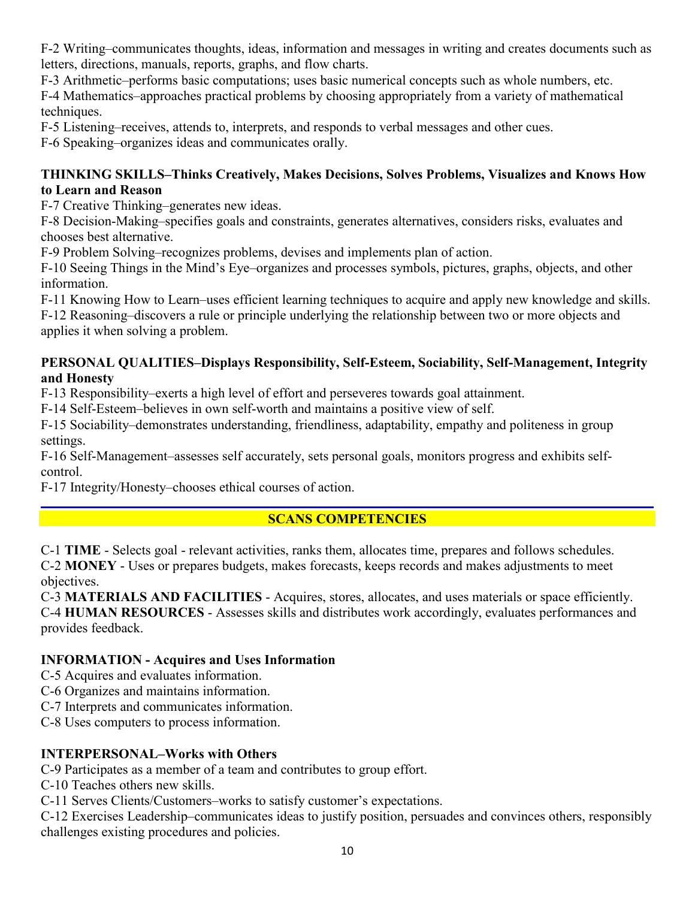F-2 Writing–communicates thoughts, ideas, information and messages in writing and creates documents such as letters, directions, manuals, reports, graphs, and flow charts.

F-3 Arithmetic–performs basic computations; uses basic numerical concepts such as whole numbers, etc.

F-4 Mathematics–approaches practical problems by choosing appropriately from a variety of mathematical techniques.

F-5 Listening–receives, attends to, interprets, and responds to verbal messages and other cues.

F-6 Speaking–organizes ideas and communicates orally.

# **THINKING SKILLS–Thinks Creatively, Makes Decisions, Solves Problems, Visualizes and Knows How to Learn and Reason**

F-7 Creative Thinking–generates new ideas.

F-8 Decision-Making–specifies goals and constraints, generates alternatives, considers risks, evaluates and chooses best alternative.

F-9 Problem Solving–recognizes problems, devises and implements plan of action.

F-10 Seeing Things in the Mind's Eye–organizes and processes symbols, pictures, graphs, objects, and other information.

F-11 Knowing How to Learn–uses efficient learning techniques to acquire and apply new knowledge and skills.

F-12 Reasoning–discovers a rule or principle underlying the relationship between two or more objects and applies it when solving a problem.

# **PERSONAL QUALITIES–Displays Responsibility, Self-Esteem, Sociability, Self-Management, Integrity and Honesty**

F-13 Responsibility–exerts a high level of effort and perseveres towards goal attainment.

F-14 Self-Esteem–believes in own self-worth and maintains a positive view of self.

F-15 Sociability–demonstrates understanding, friendliness, adaptability, empathy and politeness in group settings.

F-16 Self-Management–assesses self accurately, sets personal goals, monitors progress and exhibits selfcontrol.

F-17 Integrity/Honesty–chooses ethical courses of action.

# **SCANS COMPETENCIES**

C-1 **TIME** - Selects goal - relevant activities, ranks them, allocates time, prepares and follows schedules. C-2 **MONEY** - Uses or prepares budgets, makes forecasts, keeps records and makes adjustments to meet objectives.

C-3 **MATERIALS AND FACILITIES** - Acquires, stores, allocates, and uses materials or space efficiently. C-4 **HUMAN RESOURCES** - Assesses skills and distributes work accordingly, evaluates performances and provides feedback.

# **INFORMATION - Acquires and Uses Information**

C-5 Acquires and evaluates information.

C-6 Organizes and maintains information.

C-7 Interprets and communicates information.

C-8 Uses computers to process information.

# **INTERPERSONAL–Works with Others**

C-9 Participates as a member of a team and contributes to group effort.

C-10 Teaches others new skills.

C-11 Serves Clients/Customers–works to satisfy customer's expectations.

C-12 Exercises Leadership–communicates ideas to justify position, persuades and convinces others, responsibly challenges existing procedures and policies.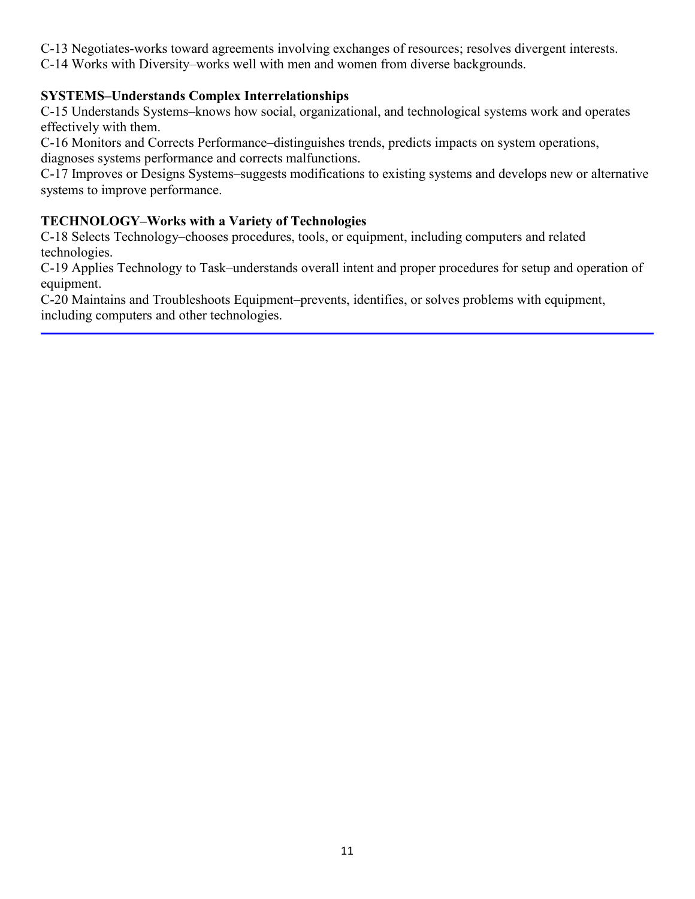- C-13 Negotiates-works toward agreements involving exchanges of resources; resolves divergent interests.
- C-14 Works with Diversity–works well with men and women from diverse backgrounds.

# **SYSTEMS–Understands Complex Interrelationships**

C-15 Understands Systems–knows how social, organizational, and technological systems work and operates effectively with them.

C-16 Monitors and Corrects Performance–distinguishes trends, predicts impacts on system operations, diagnoses systems performance and corrects malfunctions.

C-17 Improves or Designs Systems–suggests modifications to existing systems and develops new or alternative systems to improve performance.

# **TECHNOLOGY–Works with a Variety of Technologies**

C-18 Selects Technology–chooses procedures, tools, or equipment, including computers and related technologies.

C-19 Applies Technology to Task–understands overall intent and proper procedures for setup and operation of equipment.

C-20 Maintains and Troubleshoots Equipment–prevents, identifies, or solves problems with equipment, including computers and other technologies.